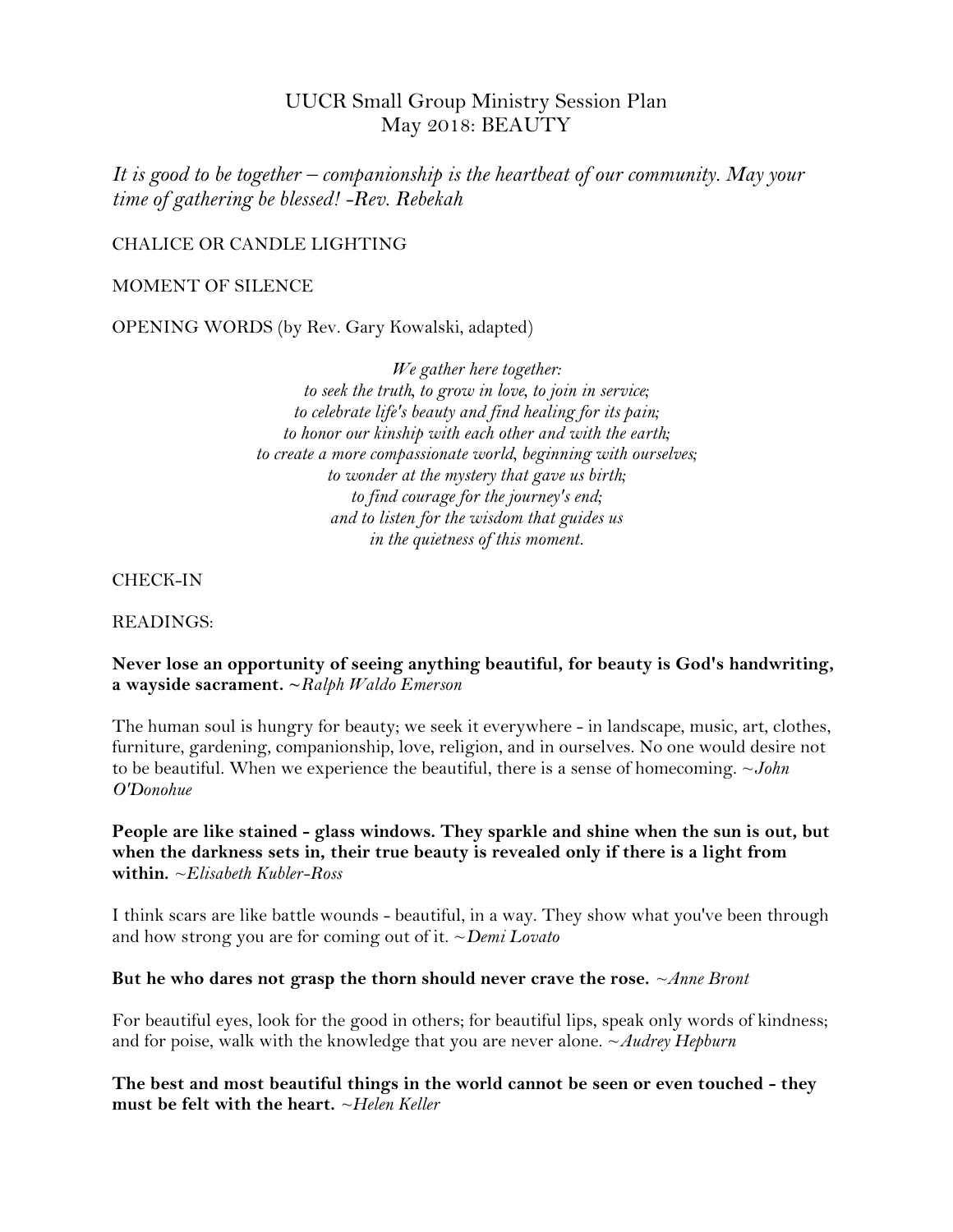# UUCR Small Group Ministry Session Plan May 2018: BEAUTY

*It is good to be together – companionship is the heartbeat of our community. May your time of gathering be blessed! -Rev. Rebekah*

## CHALICE OR CANDLE LIGHTING

#### MOMENT OF SILENCE

OPENING WORDS (by Rev. Gary Kowalski, adapted)

*We gather here together: to seek the truth, to grow in love, to join in service; to celebrate life's beauty and find healing for its pain; to honor our kinship with each other and with the earth; to create a more compassionate world, beginning with ourselves; to wonder at the mystery that gave us birth; to find courage for the journey's end; and to listen for the wisdom that guides us in the quietness of this moment.*

CHECK-IN

READINGS:

## **Never lose an opportunity of seeing anything beautiful, for beauty is God's handwriting, a wayside sacrament. ~***Ralph Waldo Emerson*

The human soul is hungry for beauty; we seek it everywhere - in landscape, music, art, clothes, furniture, gardening, companionship, love, religion, and in ourselves. No one would desire not to be beautiful. When we experience the beautiful, there is a sense of homecoming. ~*John O'Donohue*

## **People are like stained - glass windows. They sparkle and shine when the sun is out, but when the darkness sets in, their true beauty is revealed only if there is a light from within.** *~Elisabeth Kubler-Ross*

I think scars are like battle wounds - beautiful, in a way. They show what you've been through and how strong you are for coming out of it. ~*Demi Lovato*

#### **But he who dares not grasp the thorn should never crave the rose.** *~Anne Bront*

For beautiful eyes, look for the good in others; for beautiful lips, speak only words of kindness; and for poise, walk with the knowledge that you are never alone. ~*Audrey Hepburn*

**The best and most beautiful things in the world cannot be seen or even touched - they must be felt with the heart.** *~Helen Keller*